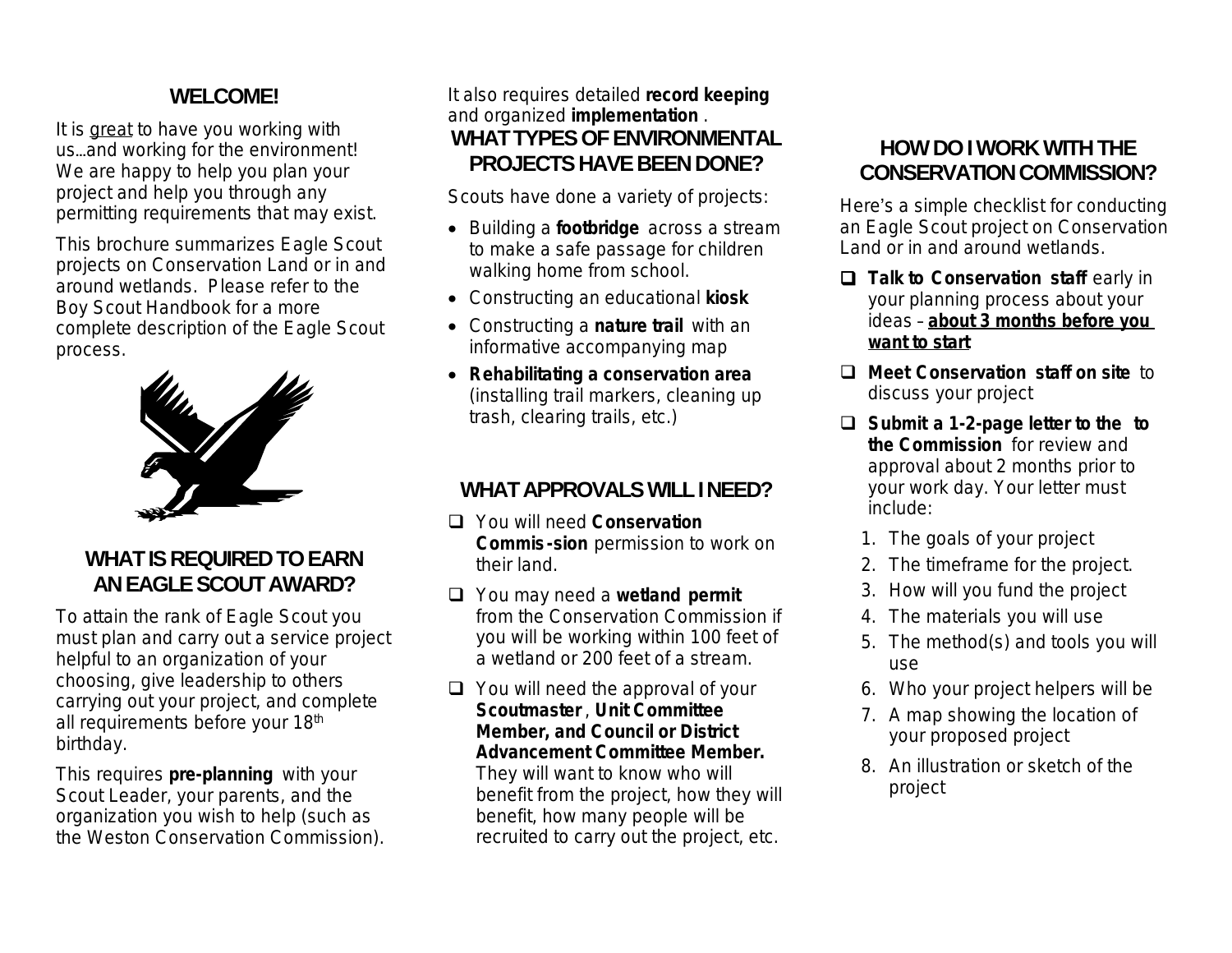## **WELCOME!**

It is great to have you working with us…and working for the environment! We are happy to help you plan your project and help you through any permitting requirements that may exist.

This brochure summarizes Eagle Scout projects on Conservation Land or in and around wetlands. Please refer to the Boy Scout Handbook for a more complete description of the Eagle Scout process.



## **WHAT IS REQUIRED TO EARN ANEAGLESCOUTAWARD?**

To attain the rank of Eagle Scout you must plan and carry out a service project helpful to an organization of your choosing, give leadership to others carrying out your project, and complete all requirements before your 18<sup>th</sup> birthday.

This requires **pre-planning** with your Scout Leader, your parents, and the organization you wish to help (such as the Weston Conservation Commission). It also requires detailed **record keeping** and organized **implementation** . **WHAT TYPES OF ENVIRONMENTAL PROJECTS HAVE BEEN DONE?** 

Scouts have done a variety of projects:

- Building a **footbridge** across a stream to make a safe passage for children walking home from school.
- Constructing an educational **kiosk**
- Constructing a **nature trail** with an informative accompanying map
- **Rehabilitating a conservation area** (installing trail markers, cleaning up trash, clearing trails, etc.)

# WHAT APPROVALS WILL I NEED?

- You will need **Conservation Commis-sion** permission to work on their land.
- You may need a **wetland permit** from the Conservation Commission if you will be working within 100 feet of a wetland or 200 feet of a stream.
- $\Box$  You will need the approval of your **Scoutmaster** , **Unit Committee Member, and Council or District Advancement Committee Member.**

They will want to know who will benefit from the project, how they will benefit, how many people will be recruited to carry out the project, etc.

# **HOW DO I WORK WITH THE CONSERVATION COMMISSION?**

Here's a simple checklist for conducting an Eagle Scout project on Conservation Land or in and around wetlands.

- **Talk to Conservation staff** early in your planning process about your ideas – **about 3 months before you want to start**
- **Meet Conservation staff on site** to discuss your project
- **Submit a 1-2-page letter to the to the Commission** for review and approval about 2 months prior to your work day. Your letter must include:
	- 1. The goals of your project
	- 2. The timeframe for the project.
	- 3. How will you fund the project
	- 4. The materials you will use
	- 5. The method(s) and tools you will use
	- 6. Who your project helpers will be
	- 7. A map showing the location of your proposed project
	- 8. An illustration or sketch of the project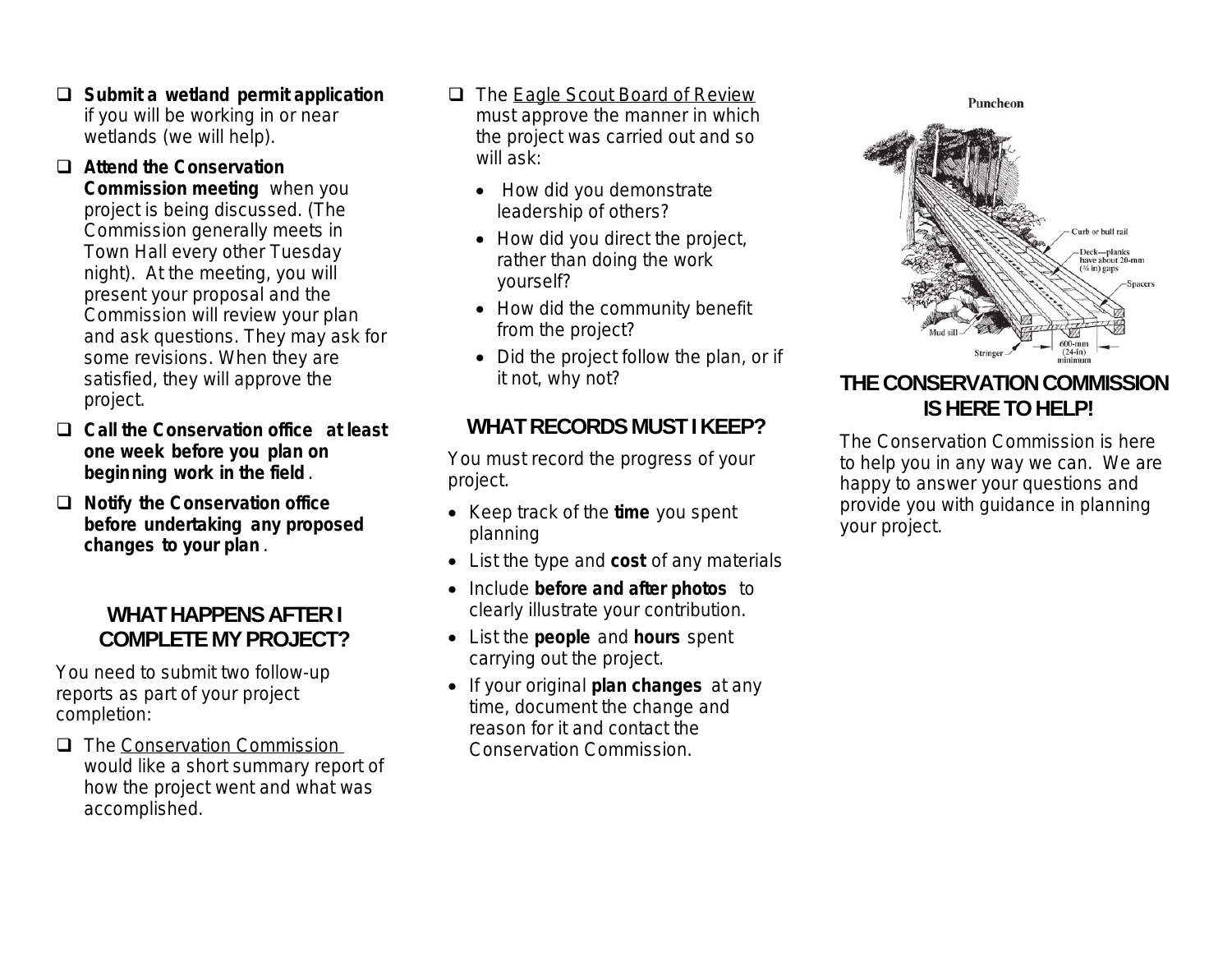**Submit a wetland permit application** if you will be working in or near wetlands (we will help).

#### **Attend the Conservation**

**Commission meeting** when you project is being discussed. (The Commission generally meets in Town Hall every other Tuesday night). At the meeting, you will present your proposal and the Commission will review your plan and ask questions. They may ask for some revisions. When they are satisfied, they will approve the project.

- **Call the Conservation office at least one week before you plan on beginning work in the field** .
- **Notify the Conservation office before undertaking any proposed changes to your plan** .

## **WHAT HAPPENS AFTER I COMPLETE MY PROJECT?**

You need to submit two follow-up reports as part of your project completion:

**The Conservation Commission** would like a short summary report of how the project went and what was accomplished.

- □ The Eagle Scout Board of Review must approve the manner in which the project was carried out and so will ask:
	- How did you demonstrate leadership of others?
	- How did you direct the project, rather than doing the work yourself?
	- How did the community benefit from the project?
	- Did the project follow the plan, or if it not, why not?

### WHAT RECORDS MUST I KEEP?

You must record the progress of your project.

- Keep track of the **time** you spent planning
- List the type and **cost** of any materials
- Include **before and after photos** to clearly illustrate your contribution.
- List the **people** and **hours** spent carrying out the project.
- If your original **plan changes** at any time, document the change and reason for it and contact the Conservation Commission.



## **THE CONSERVATION COMMISSION IS HERE TO HELP!**

The Conservation Commission is here to help you in any way we can. We are happy to answer your questions and provide you with guidance in planning your project.